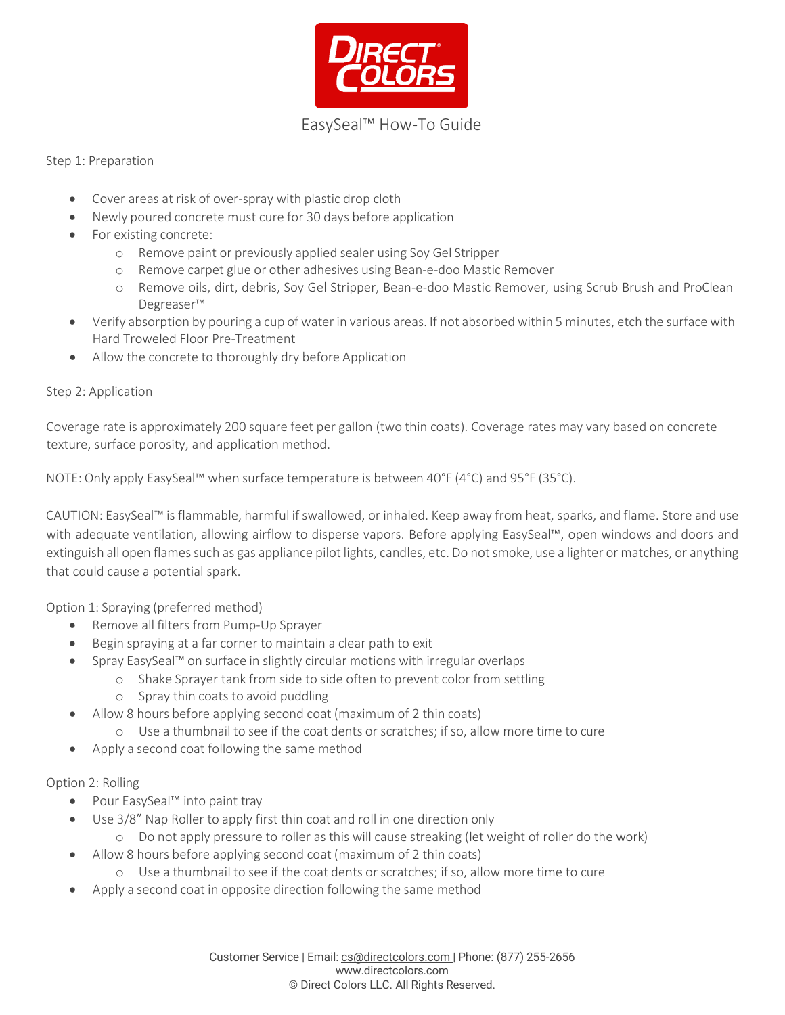

#### Step 1: Preparation

- Cover areas at risk of over-spray with plastic drop cloth
- Newly poured concrete must cure for 30 days before application
- For existing concrete:
	- o Remove paint or previously applied sealer using Soy Gel Stripper
	- o Remove carpet glue or other adhesives using Bean-e-doo Mastic Remover
	- o Remove oils, dirt, debris, Soy Gel Stripper, Bean-e-doo Mastic Remover, using Scrub Brush and ProClean Degreaser™
- Verify absorption by pouring a cup of water in various areas. If not absorbed within 5 minutes, etch the surfacewith Hard Troweled Floor Pre-Treatment
- Allow the concrete to thoroughly dry before Application

#### Step 2: Application

Coverage rate is approximately 200 square feet per gallon (two thin coats). Coverage rates may vary based on concrete texture, surface porosity, and application method.

NOTE: Only apply EasySeal™ when surface temperature is between 40°F (4°C) and 95°F (35°C).

CAUTION: EasySeal™ is flammable, harmful if swallowed, or inhaled. Keep away from heat, sparks, and flame. Store and use with adequate ventilation, allowing airflow to disperse vapors. Before applying EasySeal™, open windows and doors and extinguish all open flames such as gas appliance pilot lights, candles, etc. Do not smoke, use a lighter or matches, or anything that could cause a potential spark.

Option 1: Spraying (preferred method)

- Remove all filters from Pump-Up Sprayer
- Begin spraying at a far corner to maintain a clear path to exit
- Spray EasySeal™ on surface in slightly circular motions with irregular overlaps
	- o Shake Sprayer tank from side to side often to prevent color from settling
	- o Spray thin coats to avoid puddling
- Allow 8 hours before applying second coat (maximum of 2 thin coats)
	- o Use a thumbnail to see if the coat dents or scratches; if so, allow more time to cure
- Apply a second coat following the same method

#### Option 2: Rolling

- Pour EasySeal™ into paint tray
- Use 3/8" Nap Roller to apply first thin coat and roll in one direction only
	- o Do not apply pressure to roller as this will cause streaking (let weight of roller do the work)
- Allow 8 hours before applying second coat (maximum of 2 thin coats)
	- o Use a thumbnail to see if the coat dents or scratches; if so, allow more time to cure
- Apply a second coat in opposite direction following the same method